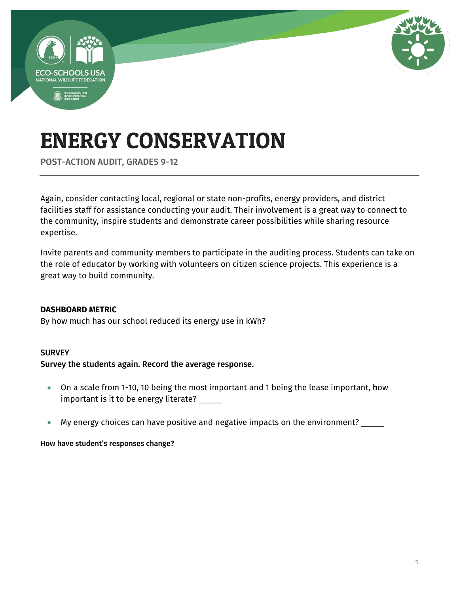

POST-ACTION AUDIT, GRADES 9-12

Again, consider contacting local, regional or state non-profits, energy providers, and district facilities staff for assistance conducting your audit. Their involvement is a great way to connect to the community, inspire students and demonstrate career possibilities while sharing resource expertise.

Invite parents and community members to participate in the auditing process. Students can take on the role of educator by working with volunteers on citizen science projects. This experience is a great way to build community.

#### **DASHBOARD METRIC**

By how much has our school reduced its energy use in kWh?

#### **SURVEY**

#### Survey the students again. Record the average response.

- On a scale from 1-10, 10 being the most important and 1 being the lease important, how important is it to be energy literate? \_\_\_\_\_
- My energy choices can have positive and negative impacts on the environment? \_\_\_\_\_

#### How have student's responses change?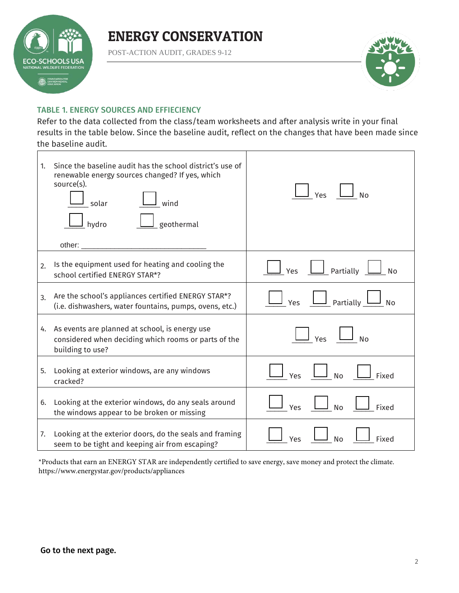

POST-ACTION AUDIT, GRADES 9-12



#### TABLE 1. ENERGY SOURCES AND EFFIECIENCY

Refer to the data collected from the class/team worksheets and after analysis write in your final results in the table below. Since the baseline audit, reflect on the changes that have been made since the baseline audit.

| 1. | Since the baseline audit has the school district's use of<br>renewable energy sources changed? If yes, which<br>source(s).<br>wind<br>solar<br>geothermal<br>hydro<br>other: | Yes<br><b>No</b>                  |
|----|------------------------------------------------------------------------------------------------------------------------------------------------------------------------------|-----------------------------------|
| 2. | Is the equipment used for heating and cooling the<br>school certified ENERGY STAR*?                                                                                          | $\Box$ Partially<br>Yes<br>l No   |
| 3. | Are the school's appliances certified ENERGY STAR*?<br>(i.e. dishwashers, water fountains, pumps, ovens, etc.)                                                               | Yes <u>II</u> Partially L<br>J No |
|    | 4. As events are planned at school, is energy use<br>considered when deciding which rooms or parts of the<br>building to use?                                                | Yes<br>」<br>No                    |
| 5. | Looking at exterior windows, are any windows<br>cracked?                                                                                                                     | No<br>Fixed<br>Yes                |
| 6. | Looking at the exterior windows, do any seals around<br>the windows appear to be broken or missing                                                                           | <b>No</b><br>Fixed<br>Yes         |
| 7. | Looking at the exterior doors, do the seals and framing<br>seem to be tight and keeping air from escaping?                                                                   | Fixed<br>Yes<br><b>No</b>         |

\*Products that earn an ENERGY STAR are independently certified to save energy, save money and protect the climate. <https://www.energystar.gov/products/appliances>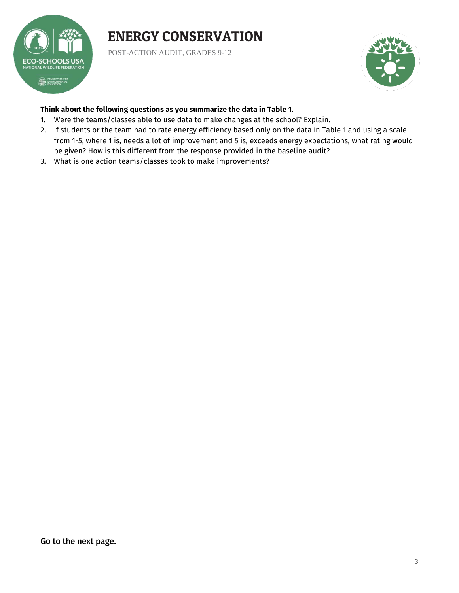

POST-ACTION AUDIT, GRADES 9-12



#### **Think about the following questions as you summarize the data in Table 1.**

- 1. Were the teams/classes able to use data to make changes at the school? Explain.
- 2. If students or the team had to rate energy efficiency based only on the data in Table 1 and using a scale from 1-5, where 1 is, needs a lot of improvement and 5 is, exceeds energy expectations, what rating would be given? How is this different from the response provided in the baseline audit?
- 3. What is one action teams/classes took to make improvements?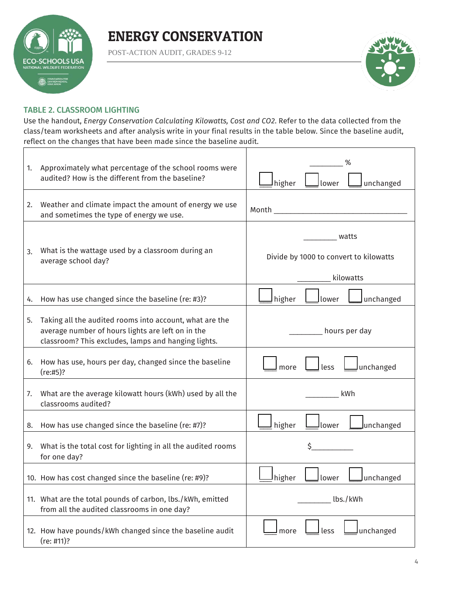

POST-ACTION AUDIT, GRADES 9-12



#### TABLE 2. CLASSROOM LIGHTING

Use the handout, *Energy Conservation Calculating Kilowatts, Cost and CO2*. Refer to the data collected from the class/team worksheets and after analysis write in your final results in the table below. Since the baseline audit, reflect on the changes that have been made since the baseline audit.

| 1. | Approximately what percentage of the school rooms were<br>audited? How is the different from the baseline?                                                          | higher<br>unchanged<br>lower                                 |
|----|---------------------------------------------------------------------------------------------------------------------------------------------------------------------|--------------------------------------------------------------|
| 2. | Weather and climate impact the amount of energy we use<br>and sometimes the type of energy we use.                                                                  | Month <b>Market Communist Street Advisory</b>                |
| 3. | What is the wattage used by a classroom during an<br>average school day?                                                                                            | watts<br>Divide by 1000 to convert to kilowatts<br>kilowatts |
| 4. | How has use changed since the baseline (re: #3)?                                                                                                                    | higher<br>unchanged<br>lower                                 |
| 5. | Taking all the audited rooms into account, what are the<br>average number of hours lights are left on in the<br>classroom? This excludes, lamps and hanging lights. | hours per day                                                |
| 6. | How has use, hours per day, changed since the baseline<br>(re:#5)?                                                                                                  | less<br>more<br>lunchanged                                   |
| 7. | What are the average kilowatt hours (kWh) used by all the<br>classrooms audited?                                                                                    | kWh                                                          |
| 8. | How has use changed since the baseline (re: #7)?                                                                                                                    | higher<br>Junchanged<br>lower                                |
| 9. | What is the total cost for lighting in all the audited rooms<br>for one day?                                                                                        | \$                                                           |
|    | 10. How has cost changed since the baseline (re: #9)?                                                                                                               | higher<br>unchanged<br>lower                                 |
|    | 11. What are the total pounds of carbon, lbs./kWh, emitted<br>from all the audited classrooms in one day?                                                           | lbs./kWh                                                     |
|    | 12. How have pounds/kWh changed since the baseline audit<br>(re: #11)?                                                                                              | lunchanged<br>less<br>more                                   |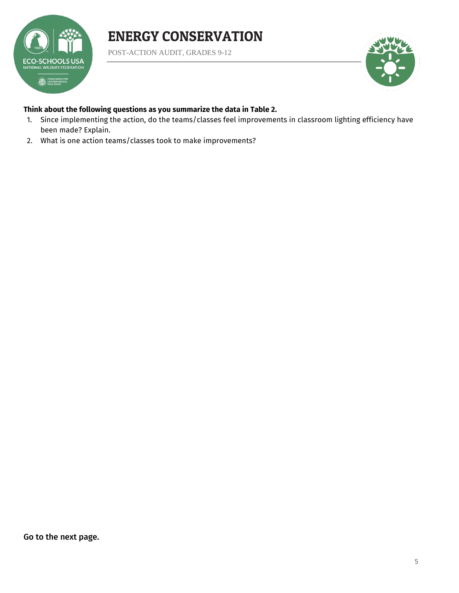

POST-ACTION AUDIT, GRADES 9-12



#### **Think about the following questions as you summarize the data in Table 2.**

- 1. Since implementing the action, do the teams/classes feel improvements in classroom lighting efficiency have been made? Explain.
- 2. What is one action teams/classes took to make improvements?

Go to the next page.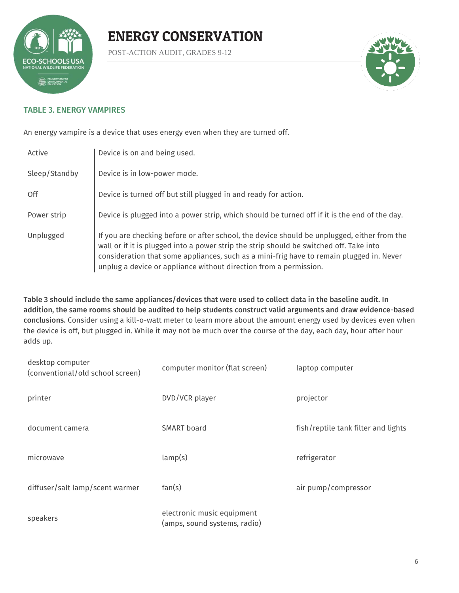

POST-ACTION AUDIT, GRADES 9-12



#### TABLE 3. ENERGY VAMPIRES

An energy vampire is a device that uses energy even when they are turned off.

| Active        | Device is on and being used.                                                                                                                                                                                                                                                                                                                            |
|---------------|---------------------------------------------------------------------------------------------------------------------------------------------------------------------------------------------------------------------------------------------------------------------------------------------------------------------------------------------------------|
| Sleep/Standby | Device is in low-power mode.                                                                                                                                                                                                                                                                                                                            |
| 0ff           | Device is turned off but still plugged in and ready for action.                                                                                                                                                                                                                                                                                         |
| Power strip   | Device is plugged into a power strip, which should be turned off if it is the end of the day.                                                                                                                                                                                                                                                           |
| Unplugged     | If you are checking before or after school, the device should be unplugged, either from the<br>wall or if it is plugged into a power strip the strip should be switched off. Take into<br>consideration that some appliances, such as a mini-frig have to remain plugged in. Never<br>unplug a device or appliance without direction from a permission. |

Table 3 should include the same appliances/devices that were used to collect data in the baseline audit. In addition, the same rooms should be audited to help students construct valid arguments and draw evidence-based conclusions. Consider using a kill-o-watt meter to learn more about the amount energy used by devices even when the device is off, but plugged in. While it may not be much over the course of the day, each day, hour after hour adds up.

| desktop computer<br>(conventional/old school screen) | computer monitor (flat screen)                             | laptop computer                     |
|------------------------------------------------------|------------------------------------------------------------|-------------------------------------|
| printer                                              | DVD/VCR player                                             | projector                           |
| document camera                                      | <b>SMART</b> board                                         | fish/reptile tank filter and lights |
| microwave                                            | lamp(s)                                                    | refrigerator                        |
| diffuser/salt lamp/scent warmer                      | fan(s)                                                     | air pump/compressor                 |
| speakers                                             | electronic music equipment<br>(amps, sound systems, radio) |                                     |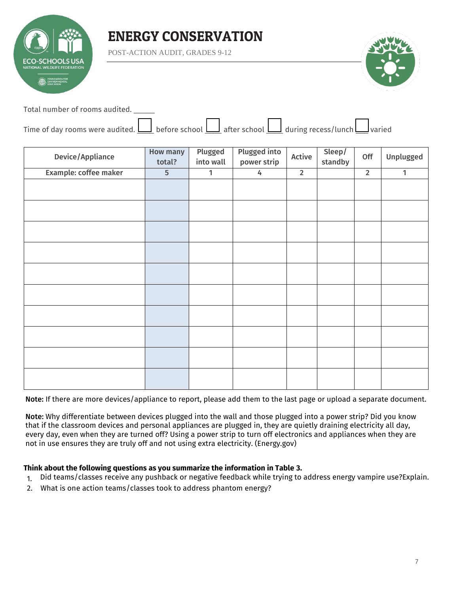

POST-ACTION AUDIT, GRADES 9-12



Total number of rooms audited. \_\_\_\_\_

| Time of day rooms were audited. $\Box$ before school $\Box$ after school $\Box$ during recess/lunch $\Box$ varied |  |  |  |  |  |  |  |
|-------------------------------------------------------------------------------------------------------------------|--|--|--|--|--|--|--|
|-------------------------------------------------------------------------------------------------------------------|--|--|--|--|--|--|--|

| <b>Device/Appliance</b> | <b>How many</b><br>total? | Plugged<br>into wall | <b>Plugged into</b><br>power strip | Active         | Sleep/<br>standby | Off            | Unplugged    |
|-------------------------|---------------------------|----------------------|------------------------------------|----------------|-------------------|----------------|--------------|
| Example: coffee maker   | 5                         | 1                    | 4                                  | $\overline{2}$ |                   | $\overline{2}$ | $\mathbf{1}$ |
|                         |                           |                      |                                    |                |                   |                |              |
|                         |                           |                      |                                    |                |                   |                |              |
|                         |                           |                      |                                    |                |                   |                |              |
|                         |                           |                      |                                    |                |                   |                |              |
|                         |                           |                      |                                    |                |                   |                |              |
|                         |                           |                      |                                    |                |                   |                |              |
|                         |                           |                      |                                    |                |                   |                |              |
|                         |                           |                      |                                    |                |                   |                |              |
|                         |                           |                      |                                    |                |                   |                |              |
|                         |                           |                      |                                    |                |                   |                |              |

Note: If there are more devices/appliance to report, please add them to the last page or upload a separate document.

Note: Why differentiate between devices plugged into the wall and those plugged into a power strip? Did you know that if the classroom devices and personal appliances are plugged in, they are quietly draining electricity all day, every day, even when they are turned off? Using a power strip to turn off electronics and appliances when they are not in use ensures they are truly off and not using extra electricity. (Energy.gov)

#### **Think about the following questions as you summarize the information in Table 3.**

- 1. Did teams/classes receive any pushback or negative feedback while trying to address energy vampire use?Explain.
- 2. What is one action teams/classes took to address phantom energy?